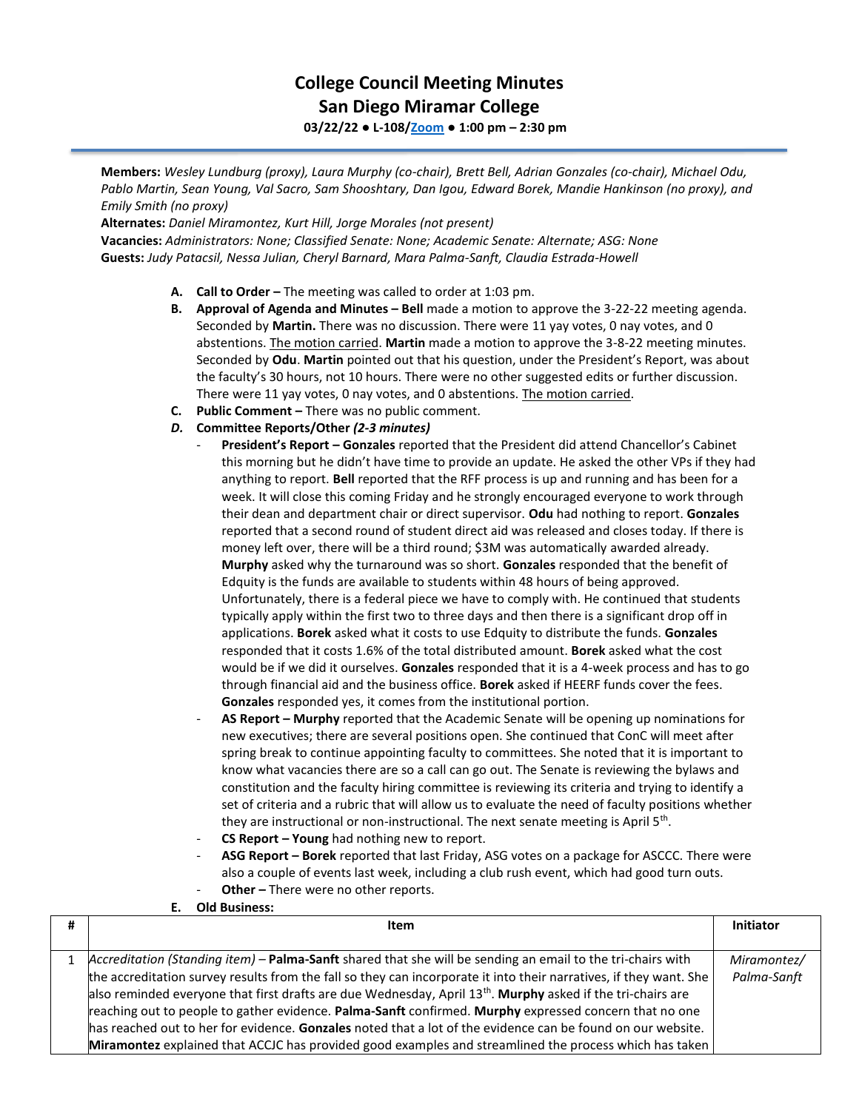## **College Council Meeting Minutes San Diego Miramar College 03/22/22 ● L-108[/Zoom](https://cccconfer.zoom.us/j/92354948089?pwd=clQvQ3pSdi84K2xTSnVLN1UyOXhpQT09) ● 1:00 pm – 2:30 pm**

**Members:** *Wesley Lundburg (proxy), Laura Murphy (co-chair), Brett Bell, Adrian Gonzales (co-chair), Michael Odu, Pablo Martin, Sean Young, Val Sacro, Sam Shooshtary, Dan Igou, Edward Borek, Mandie Hankinson (no proxy), and Emily Smith (no proxy)*

**Alternates:** *Daniel Miramontez, Kurt Hill, Jorge Morales (not present)* **Vacancies:** *Administrators: None; Classified Senate: None; Academic Senate: Alternate; ASG: None* **Guests:** *Judy Patacsil, Nessa Julian, Cheryl Barnard, Mara Palma-Sanft, Claudia Estrada-Howell*

- **A. Call to Order –** The meeting was called to order at 1:03 pm.
- **B. Approval of Agenda and Minutes – Bell** made a motion to approve the 3-22-22 meeting agenda. Seconded by **Martin.** There was no discussion. There were 11 yay votes, 0 nay votes, and 0 abstentions. The motion carried. **Martin** made a motion to approve the 3-8-22 meeting minutes. Seconded by **Odu**. **Martin** pointed out that his question, under the President's Report, was about the faculty's 30 hours, not 10 hours. There were no other suggested edits or further discussion. There were 11 yay votes, 0 nay votes, and 0 abstentions. The motion carried.
- **C. Public Comment –** There was no public comment.
- *D.* **Committee Reports/Other** *(2-3 minutes)*
	- **President's Report – Gonzales** reported that the President did attend Chancellor's Cabinet this morning but he didn't have time to provide an update. He asked the other VPs if they had anything to report. **Bell** reported that the RFF process is up and running and has been for a week. It will close this coming Friday and he strongly encouraged everyone to work through their dean and department chair or direct supervisor. **Odu** had nothing to report. **Gonzales**  reported that a second round of student direct aid was released and closes today. If there is money left over, there will be a third round; \$3M was automatically awarded already. **Murphy** asked why the turnaround was so short. **Gonzales** responded that the benefit of Edquity is the funds are available to students within 48 hours of being approved. Unfortunately, there is a federal piece we have to comply with. He continued that students typically apply within the first two to three days and then there is a significant drop off in applications. **Borek** asked what it costs to use Edquity to distribute the funds. **Gonzales** responded that it costs 1.6% of the total distributed amount. **Borek** asked what the cost would be if we did it ourselves. **Gonzales** responded that it is a 4-week process and has to go through financial aid and the business office. **Borek** asked if HEERF funds cover the fees. **Gonzales** responded yes, it comes from the institutional portion.
	- **AS Report – Murphy** reported that the Academic Senate will be opening up nominations for new executives; there are several positions open. She continued that ConC will meet after spring break to continue appointing faculty to committees. She noted that it is important to know what vacancies there are so a call can go out. The Senate is reviewing the bylaws and constitution and the faculty hiring committee is reviewing its criteria and trying to identify a set of criteria and a rubric that will allow us to evaluate the need of faculty positions whether they are instructional or non-instructional. The next senate meeting is April 5<sup>th</sup>.
	- **CS Report – Young** had nothing new to report.
	- **ASG Report – Borek** reported that last Friday, ASG votes on a package for ASCCC. There were also a couple of events last week, including a club rush event, which had good turn outs. **Other** – There were no other reports.
- **E. Old Business:**

| # | Item                                                                                                                    | Initiator   |
|---|-------------------------------------------------------------------------------------------------------------------------|-------------|
|   |                                                                                                                         |             |
|   | Accreditation (Standing item) – Palma-Sanft shared that she will be sending an email to the tri-chairs with             | Miramontez/ |
|   | the accreditation survey results from the fall so they can incorporate it into their narratives, if they want. She      | Palma-Sanft |
|   | also reminded everyone that first drafts are due Wednesday, April 13 <sup>th</sup> . Murphy asked if the tri-chairs are |             |
|   | reaching out to people to gather evidence. Palma-Sanft confirmed. Murphy expressed concern that no one                  |             |
|   | has reached out to her for evidence. Gonzales noted that a lot of the evidence can be found on our website.             |             |
|   | Miramontez explained that ACCJC has provided good examples and streamlined the process which has taken                  |             |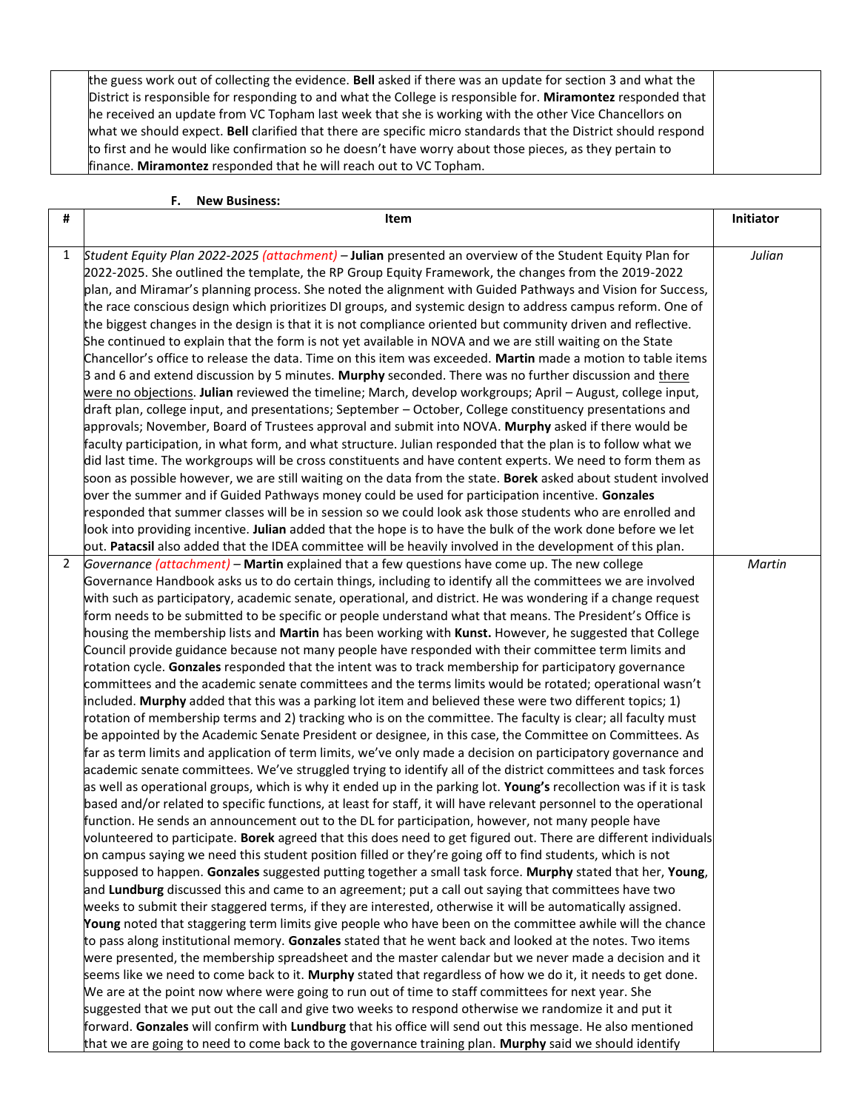| the guess work out of collecting the evidence. Bell asked if there was an update for section 3 and what the    |  |
|----------------------------------------------------------------------------------------------------------------|--|
| District is responsible for responding to and what the College is responsible for. Miramontez responded that   |  |
| he received an update from VC Topham last week that she is working with the other Vice Chancellors on          |  |
| what we should expect. Bell clarified that there are specific micro standards that the District should respond |  |
| to first and he would like confirmation so he doesn't have worry about those pieces, as they pertain to        |  |
| finance. Miramontez responded that he will reach out to VC Topham.                                             |  |
|                                                                                                                |  |

## **F. New Business:**

| # | Item                                                                                                                                                                                                                       | Initiator |
|---|----------------------------------------------------------------------------------------------------------------------------------------------------------------------------------------------------------------------------|-----------|
|   |                                                                                                                                                                                                                            |           |
| 1 | Student Equity Plan 2022-2025 (attachment) - Julian presented an overview of the Student Equity Plan for                                                                                                                   | Julian    |
|   | 2022-2025. She outlined the template, the RP Group Equity Framework, the changes from the 2019-2022                                                                                                                        |           |
|   | plan, and Miramar's planning process. She noted the alignment with Guided Pathways and Vision for Success,                                                                                                                 |           |
|   | the race conscious design which prioritizes DI groups, and systemic design to address campus reform. One of                                                                                                                |           |
|   | the biggest changes in the design is that it is not compliance oriented but community driven and reflective.                                                                                                               |           |
|   | She continued to explain that the form is not yet available in NOVA and we are still waiting on the State                                                                                                                  |           |
|   | Chancellor's office to release the data. Time on this item was exceeded. Martin made a motion to table items                                                                                                               |           |
|   | 3 and 6 and extend discussion by 5 minutes. Murphy seconded. There was no further discussion and there                                                                                                                     |           |
|   | were no objections. Julian reviewed the timeline; March, develop workgroups; April - August, college input,<br>draft plan, college input, and presentations; September - October, College constituency presentations and   |           |
|   |                                                                                                                                                                                                                            |           |
|   | approvals; November, Board of Trustees approval and submit into NOVA. <b>Murphy</b> asked if there would be                                                                                                                |           |
|   | faculty participation, in what form, and what structure. Julian responded that the plan is to follow what we<br>did last time. The workgroups will be cross constituents and have content experts. We need to form them as |           |
|   | soon as possible however, we are still waiting on the data from the state. Borek asked about student involved                                                                                                              |           |
|   | over the summer and if Guided Pathways money could be used for participation incentive. Gonzales                                                                                                                           |           |
|   | responded that summer classes will be in session so we could look ask those students who are enrolled and                                                                                                                  |           |
|   | look into providing incentive. Julian added that the hope is to have the bulk of the work done before we let                                                                                                               |           |
|   | out. Patacsil also added that the IDEA committee will be heavily involved in the development of this plan.                                                                                                                 |           |
| 2 | Governance (attachment) - Martin explained that a few questions have come up. The new college                                                                                                                              | Martin    |
|   | Governance Handbook asks us to do certain things, including to identify all the committees we are involved                                                                                                                 |           |
|   | with such as participatory, academic senate, operational, and district. He was wondering if a change request                                                                                                               |           |
|   | form needs to be submitted to be specific or people understand what that means. The President's Office is                                                                                                                  |           |
|   | housing the membership lists and Martin has been working with Kunst. However, he suggested that College                                                                                                                    |           |
|   | Council provide guidance because not many people have responded with their committee term limits and                                                                                                                       |           |
|   | rotation cycle. Gonzales responded that the intent was to track membership for participatory governance                                                                                                                    |           |
|   | committees and the academic senate committees and the terms limits would be rotated; operational wasn't                                                                                                                    |           |
|   | included. Murphy added that this was a parking lot item and believed these were two different topics; 1)                                                                                                                   |           |
|   | rotation of membership terms and 2) tracking who is on the committee. The faculty is clear; all faculty must                                                                                                               |           |
|   | be appointed by the Academic Senate President or designee, in this case, the Committee on Committees. As                                                                                                                   |           |
|   | far as term limits and application of term limits, we've only made a decision on participatory governance and                                                                                                              |           |
|   | academic senate committees. We've struggled trying to identify all of the district committees and task forces                                                                                                              |           |
|   | as well as operational groups, which is why it ended up in the parking lot. Young's recollection was if it is task                                                                                                         |           |
|   | based and/or related to specific functions, at least for staff, it will have relevant personnel to the operational                                                                                                         |           |
|   | function. He sends an announcement out to the DL for participation, however, not many people have                                                                                                                          |           |
|   | volunteered to participate. Borek agreed that this does need to get figured out. There are different individuals                                                                                                           |           |
|   | on campus saying we need this student position filled or they're going off to find students, which is not                                                                                                                  |           |
|   | supposed to happen. Gonzales suggested putting together a small task force. Murphy stated that her, Young,                                                                                                                 |           |
|   | and Lundburg discussed this and came to an agreement; put a call out saying that committees have two                                                                                                                       |           |
|   | weeks to submit their staggered terms, if they are interested, otherwise it will be automatically assigned.                                                                                                                |           |
|   | Young noted that staggering term limits give people who have been on the committee awhile will the chance                                                                                                                  |           |
|   | to pass along institutional memory. Gonzales stated that he went back and looked at the notes. Two items                                                                                                                   |           |
|   | were presented, the membership spreadsheet and the master calendar but we never made a decision and it                                                                                                                     |           |
|   | seems like we need to come back to it. Murphy stated that regardless of how we do it, it needs to get done.                                                                                                                |           |
|   | We are at the point now where were going to run out of time to staff committees for next year. She                                                                                                                         |           |
|   | suggested that we put out the call and give two weeks to respond otherwise we randomize it and put it                                                                                                                      |           |
|   | forward. Gonzales will confirm with Lundburg that his office will send out this message. He also mentioned                                                                                                                 |           |
|   | that we are going to need to come back to the governance training plan. Murphy said we should identify                                                                                                                     |           |